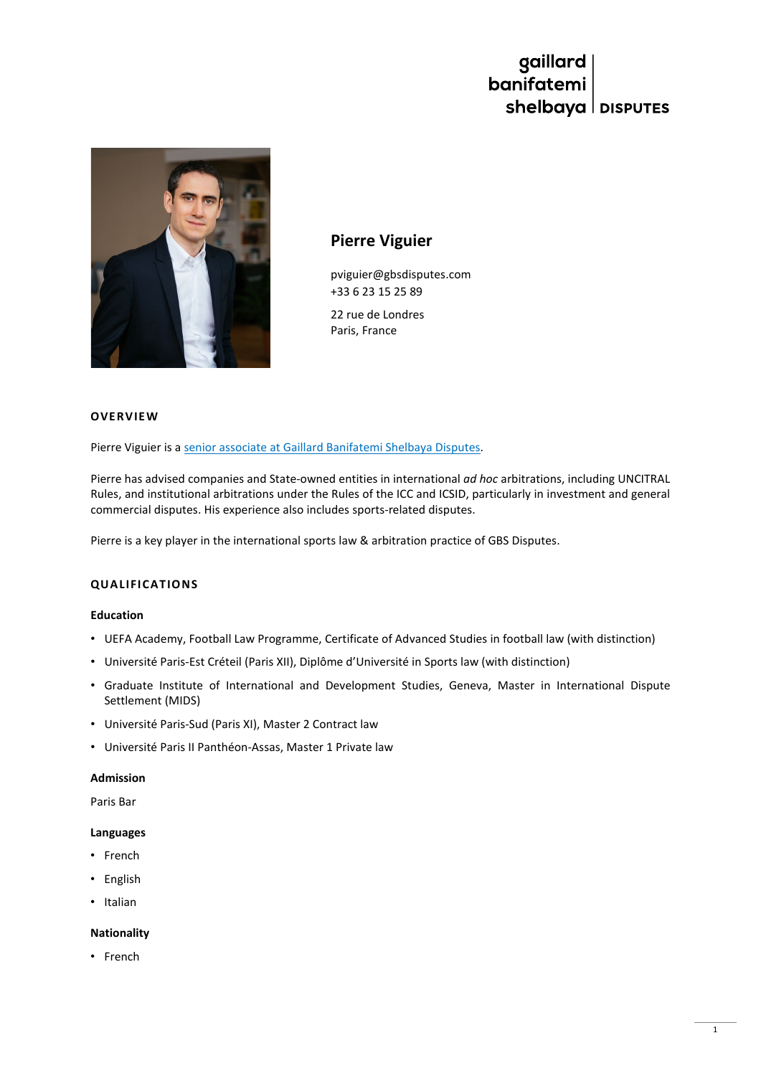# gaillard<br>banifatemi shelbaya | DISPUTES



# **Pierre Viguier**

pviguier@gbsdisputes.com +33 6 23 15 25 89

22 rue de Londres Paris, France

#### **OVERVIEW**

Pierre Viguier is a [senior associate at Gaillard Banifatemi Shelbaya Disputes.](https://www.gbsdisputes.com/team/pierre-viguier/)

Pierre has advised companies and State-owned entities in international *ad hoc* arbitrations, including UNCITRAL Rules, and institutional arbitrations under the Rules of the ICC and ICSID, particularly in investment and general commercial disputes. His experience also includes sports-related disputes.

Pierre is a key player in the international sports law & arbitration practice of GBS Disputes.

# **QUALIFICATIONS**

#### **Education**

- UEFA Academy, Football Law Programme, Certificate of Advanced Studies in football law (with distinction)
- Université Paris-Est Créteil (Paris XII), Diplôme d'Université in Sports law (with distinction)
- Graduate Institute of International and Development Studies, Geneva, Master in International Dispute Settlement (MIDS)
- Université Paris-Sud (Paris XI), Master 2 Contract law
- Université Paris II Panthéon-Assas, Master 1 Private law

# **Admission**

Paris Bar

#### **Languages**

- French
- English
- Italian

### **Nationality**

• French